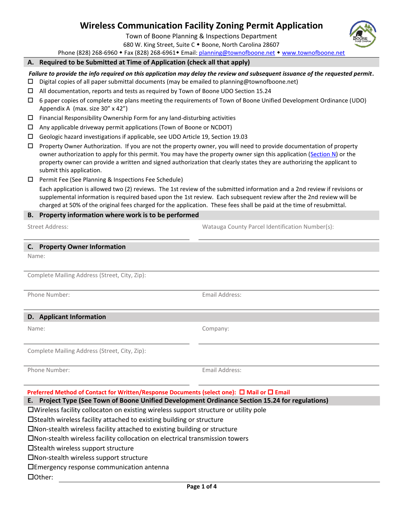# **Wireless Communication Facility Zoning Permit Application**

Town of Boone Planning & Inspections Department

680 W. King Street, Suite C . Boone, North Carolina 28607

Phone (828) 268-6960 • Fax (828) 268-6961 • Email[: planning@townofboone.net](mailto:planning@townofboone.net) • [www.townofboone.net](http://www.townofboone.net/)

#### **A. Required to be Submitted at Time of Application (check all that apply)**

#### *Failure to provide the info required on this application may delay the review and subsequent issuance of the requested permit.*

- $\square$  Digital copies of all paper submittal documents (may be emailed to planning@townofboone.net)
- All documentation, reports and tests as required by Town of Boone UDO Section 15.24
- $\Box$  6 paper copies of complete site plans meeting the requirements of Town of Boone Unified Development Ordinance (UDO) Appendix A (max. size 30" x 42")
- $\Box$  Financial Responsibility Ownership Form for any land-disturbing activities
- $\Box$  Any applicable driveway permit applications (Town of Boone or NCDOT)
- Geologic hazard investigations if applicable, see UDO Article 19, Section 19.03
- $\Box$  Property Owner Authorization. If you are not the property owner, you will need to provide documentation of property owner authorization to apply for this permit. You may have the property owner sign this application [\(Section N\)](#page-2-0) or the property owner can provide a written and signed authorization that clearly states they are authorizing the applicant to submit this application.
- $\Box$  Permit Fee (See Planning & Inspections Fee Schedule)

Each application is allowed two (2) reviews. The 1st review of the submitted information and a 2nd review if revisions or supplemental information is required based upon the 1st review. Each subsequent review after the 2nd review will be charged at 50% of the original fees charged for the application. These fees shall be paid at the time of resubmittal.

### **B. Property information where work is to be performed**

Street Address: Watauga County Parcel Identification Number(s):

#### **C. Property Owner Information**

Name:

Complete Mailing Address (Street, City, Zip):

Phone Number: The Communication of the Communication of the Email Address:

## **D. Applicant Information**

|  | I |  |
|--|---|--|
|  |   |  |
|  |   |  |

Company:

Complete Mailing Address (Street, City, Zip):

|  | Phone Number: |
|--|---------------|
|--|---------------|

**Email Address:** 

| Preferred Method of Contact for Written/Response Documents (select one): □ Mail or □ Email |  |  |
|--------------------------------------------------------------------------------------------|--|--|
|                                                                                            |  |  |

**E. Project Type (See Town of Boone Unified Development Ordinance Section 15.24 for regulations)**

Wireless facility collocaton on existing wireless support structure or utility pole

Stealth wireless facility attached to existing building or structure

Non-stealth wireless facility attached to existing building or structure

Non-stealth wireless facility collocation on electrical transmission towers

 $\square$ Stealth wireless support structure

Non-stealth wireless support structure

Emergency response communication antenna

Other: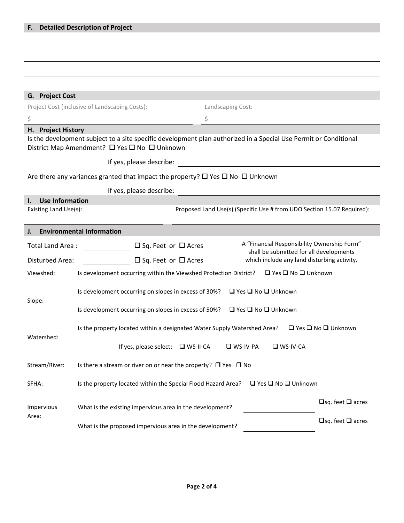### **G. Project Cost**

| Project Cost (inclusive of Landscaping Costs): |
|------------------------------------------------|
|                                                |

### **H. Project History**

Is the development subject to a site specific development plan authorized in a Special Use Permit or Conditional District Map Amendment?  $\Box$  Yes  $\Box$  No  $\Box$  Unknown

 $\zeta$ 

Landscaping Cost:

If yes, please describe:

Are there any variances granted that impact the property?  $\Box$  Yes  $\Box$  No  $\Box$  Unknown

If yes, please describe:

## **I. Use Information**

Existing Land Use(s): Existing Land Use(s): Proposed Land Use(s) (Specific Use # from UDO Section 15.07 Required):

#### **J. Environmental Information**

| Total Land Area:    | A "Financial Responsibility Ownership Form"<br>$\Box$ Sq. Feet or $\Box$ Acres<br>shall be submitted for all developments |                                     |  |  |
|---------------------|---------------------------------------------------------------------------------------------------------------------------|-------------------------------------|--|--|
| Disturbed Area:     | which include any land disturbing activity.<br>$\Box$ Sq. Feet or $\Box$ Acres                                            |                                     |  |  |
| Viewshed:           | $\Box$ Yes $\Box$ No $\Box$ Unknown<br>Is development occurring within the Viewshed Protection District?                  |                                     |  |  |
| Slope:              | $\Box$ Yes $\Box$ No $\Box$ Unknown<br>Is development occurring on slopes in excess of 30%?                               |                                     |  |  |
|                     | $\Box$ Yes $\Box$ No $\Box$ Unknown<br>Is development occurring on slopes in excess of 50%?                               |                                     |  |  |
| Watershed:          | Is the property located within a designated Water Supply Watershed Area?                                                  | $\Box$ Yes $\Box$ No $\Box$ Unknown |  |  |
|                     | If yes, please select:<br>$\n  W$ S-II-CA<br>$\n  W$ S-IV-PA<br>$\square$ WS-IV-CA                                        |                                     |  |  |
| Stream/River:       | Is there a stream or river on or near the property? $\Box$ Yes $\Box$ No                                                  |                                     |  |  |
| SFHA:               | $\Box$ Yes $\Box$ No $\Box$ Unknown<br>Is the property located within the Special Flood Hazard Area?                      |                                     |  |  |
| Impervious<br>Area: | What is the existing impervious area in the development?                                                                  | $\Box$ sq. feet $\Box$ acres        |  |  |
|                     | What is the proposed impervious area in the development?                                                                  | $\Box$ sq. feet $\Box$ acres        |  |  |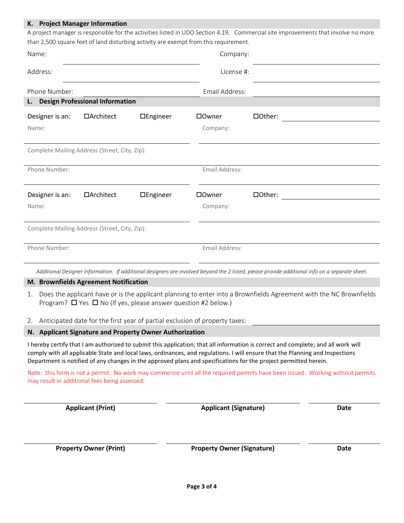## **K. Project Manager Information**

A project manager is responsible for the activities listed in UDO Section 4.19. Commercial site improvements that involve no more than 2,500 square feet of land disturbing activity are exempt from this requirement.

| Name:                                         |                                        |           | Company:       |         |  |
|-----------------------------------------------|----------------------------------------|-----------|----------------|---------|--|
| Address:                                      |                                        |           | License #:     |         |  |
| Phone Number:                                 |                                        |           | Email Address: |         |  |
| L.                                            | <b>Design Professional Information</b> |           |                |         |  |
| Designer is an:                               | □Architect                             | □Engineer | □Owner         | □Other: |  |
| Name:                                         |                                        |           | Company:       |         |  |
| Complete Mailing Address (Street, City, Zip): |                                        |           |                |         |  |
| Phone Number:                                 |                                        |           | Email Address: |         |  |
| Designer is an:                               | □Architect                             | □Engineer | □0wner         | □Other: |  |
| Name:                                         |                                        |           | Company:       |         |  |
| Complete Mailing Address (Street, City, Zip): |                                        |           |                |         |  |
| Phone Number:                                 |                                        |           | Email Address: |         |  |
|                                               |                                        |           |                |         |  |

*Additional Designer Information: If additional designers are involved beyond the 2 listed, please provide additional info on a separate sheet.*

#### **M. Brownfields Agreement Notification**

- 1. Does the applicant have or is the applicant planning to enter into a Brownfields Agreement with the NC Brownfields Program?  $\Box$  Yes  $\Box$  No (If yes, please answer question #2 below.)
- 2. Anticipated date for the first year of partial exclusion of property taxes:

#### <span id="page-2-0"></span>**N. Applicant Signature and Property Owner Authorization**

I hereby certify that I am authorized to submit this application; that all information is correct and complete; and all work will comply with all applicable State and local laws, ordinances, and regulations. I will ensure that the Planning and Inspections Department is notified of any changes in the approved plans and specifications for the project permitted herein.

Note: this form is not a permit. No work may commence until all the required permits have been issued. Working without permits may result in additional fees being assessed.

| <b>Applicant (Print)</b>      | <b>Applicant (Signature)</b>      | Date |  |
|-------------------------------|-----------------------------------|------|--|
|                               |                                   |      |  |
| <b>Property Owner (Print)</b> | <b>Property Owner (Signature)</b> | Date |  |